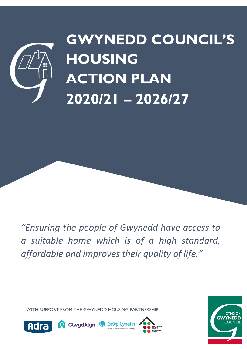

## **GWYNEDD COUNCIL'S HOUSING ACTION PLAN 2020/21 – 2026/27**

*"Ensuring the people of Gwynedd have access to a suitable home which is of a high standard, affordable and improves their quality of life."*

WITH SUPPORT FROM THE GWYNEDD HOUSING PARTNERSHIP:







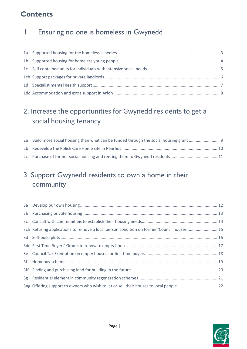### **Contents**

#### 1. Ensuring no one is homeless in Gwynedd

#### 2. Increase the opportunities for Gwynedd residents to get a social housing tenancy

| 2a Build more social housing than what can be funded through the social housing grant |  |
|---------------------------------------------------------------------------------------|--|
|                                                                                       |  |
|                                                                                       |  |

#### 3. Support Gwynedd residents to own a home in their community

| 3ch Refusing applications to remove a local person condition on former 'Council houses' 15 |
|--------------------------------------------------------------------------------------------|
|                                                                                            |
|                                                                                            |
|                                                                                            |
|                                                                                            |
|                                                                                            |
|                                                                                            |
|                                                                                            |

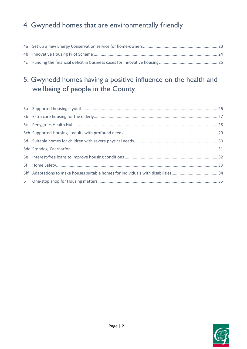#### 4. Gwynedd homes that are environmentally friendly

#### 5. Gwynedd homes having a positive influence on the health and wellbeing of people in the County

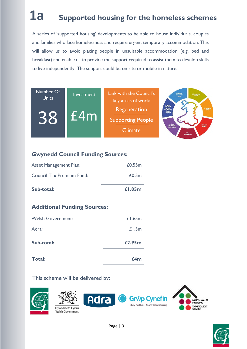## **1a Supported housing for the homeless schemes**

A series of 'supported housing' developments to be able to house individuals, couples and families who face homelessness and require urgent temporary accommodation. This will allow us to avoid placing people in unsuitable accommodation (e.g. bed and breakfast) and enable us to provide the support required to assist them to develop skills to live independently. The support could be on site or mobile in nature.



#### **Gwynedd Council Funding Sources:**

| Sub-total:                    | £1.05m |
|-------------------------------|--------|
| Council Tax Premium Fund:     | £0.5m  |
| <b>Asset Management Plan:</b> | £0.55m |

#### **Additional Funding Sources:**

| <b>Total:</b>            | f4m    |
|--------------------------|--------|
| Sub-total:               | £2.95m |
| Adra:                    | £1.3m  |
| <b>Welsh Government:</b> | £1.65m |





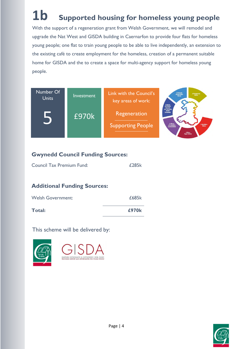## **1b Supported housing for homeless young people**

With the support of a regeneration grant from Welsh Government, we will remodel and upgrade the Nat West and GISDA building in Caernarfon to provide four flats for homeless young people; one flat to train young people to be able to live independently, an extension to the existing café to create employment for the homeless, creation of a permanent suitable home for GISDA and the to create a space for multi-agency support for homeless young people.



#### **Gwynedd Council Funding Sources:**

| <b>Council Tax Premium Fund:</b> | £285k |
|----------------------------------|-------|
|----------------------------------|-------|

#### **Additional Funding Sources:**

| <b>Welsh Government:</b> | £685k |
|--------------------------|-------|
| Total:                   | £970k |



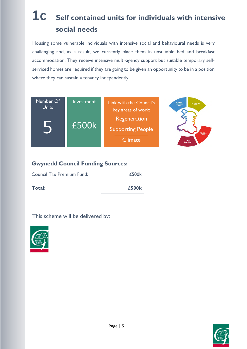### **1c Self contained units for individuals with intensive social needs**

Housing some vulnerable individuals with intensive social and behavioural needs is very challenging and, as a result, we currently place them in unsuitable bed and breakfast accommodation. They receive intensive multi-agency support but suitable temporary selfserviced homes are required if they are going to be given an opportunity to be in a position where they can sustain a tenancy independently.



#### **Gwynedd Council Funding Sources:**

| Council Tax Premium Fund: | £500k |
|---------------------------|-------|
| Total:                    | £500k |



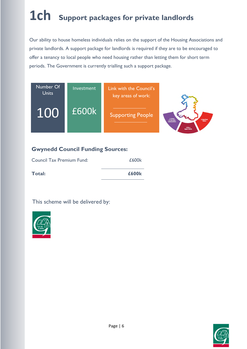## **1ch Support packages for private landlords**

Our ability to house homeless individuals relies on the support of the Housing Associations and private landlords. A support package for landlords is required if they are to be encouraged to offer a tenancy to local people who need housing rather than letting them for short term periods. The Government is currently trialling such a support package.



#### **Gwynedd Council Funding Sources:**

| Council Tax Premium Fund: | £600k |
|---------------------------|-------|
| Total:                    | £600k |



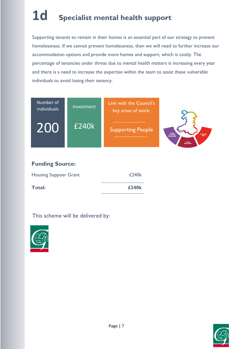## **1d Specialist mental health support**

Supporting tenants to remain in their homes is an essential part of our strategy to prevent homelessness. If we cannot prevent homelessness, then we will need to further increase our accommodation options and provide more homes and support, which is costly. The percentage of tenancies under threat due to mental health matters is increasing every year and there is a need to increase the expertise within the team to assist these vulnerable individuals to avoid losing their tenancy.

| Number of<br>individuals | Investment | Link with the Council's<br>key areas of work: |                                                                                        |  |
|--------------------------|------------|-----------------------------------------------|----------------------------------------------------------------------------------------|--|
| 200                      | £240k      | <b>Supporting People</b>                      | A Wales<br>of Cohasive<br>Communities<br>A Healthler<br>Wales<br>A More<br>Equal Wales |  |
| <b>Funding Source:</b>   |            |                                               |                                                                                        |  |

| Total:                       | £240k |
|------------------------------|-------|
| <b>Housing Suppoer Grant</b> | £240k |



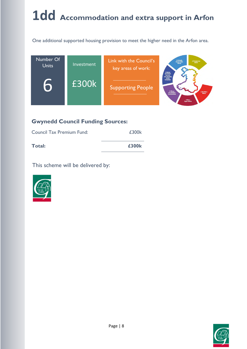## **1dd Accommodation and extra support in Arfon**

One additional supported housing provision to meet the higher need in the Arfon area.



#### **Gwynedd Council Funding Sources:**

| <b>Council Tax Premium Fund:</b> | £300k |
|----------------------------------|-------|
| Total:                           | £300k |



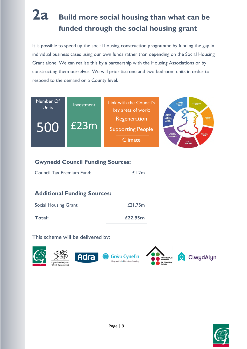### **2a Build more social housing than what can be funded through the social housing grant**

It is possible to speed up the social housing construction programme by funding the gap in individual business cases using our own funds rather than depending on the Social Housing Grant alone. We can realise this by a partnership with the Housing Associations or by constructing them ourselves. We will prioritise one and two bedroom units in order to respond to the demand on a County level.



#### **Gwynedd Council Funding Sources:**

| <b>Council Tax Premium Fund:</b> | £1.2m |
|----------------------------------|-------|

#### **Additional Funding Sources:**

| <b>Social Housing Grant</b> | £21.75m |
|-----------------------------|---------|
| Total:                      | £22.95m |



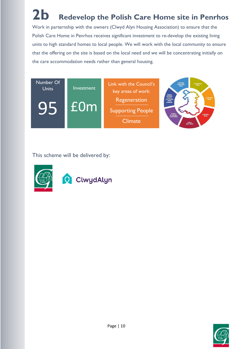## **2b Redevelop the Polish Care Home site in Penrhos**

Work in parternship with the owners (Clwyd Alyn Housing Association) to ensure that the Polish Care Home in Penrhos receives significant investment to re-develop the existing living units to high standard homes to local people. We will work with the local community to ensure that the offering on the site is based on the local need and we will be concentrating initially on the care accommodation needs rather than general housing.





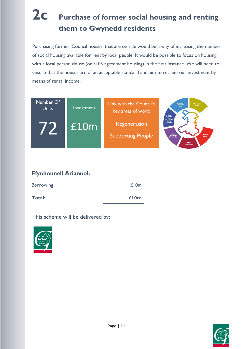### **2c Purchase of former social housing and renting them to Gwynedd residents**

Purchasing former 'Council houses' that are on sale would be a way of increasing the number of social housing available for rent by local people. It would be possible to focus on housing with a local person clause (or S106 agreement housing) in the first instance. We will need to ensure that the houses are of an acceptable standard and aim to reclaim our investment by means of rental income.



#### **Ffynhonnell Ariannol:**

| <b>Borrowing</b> | £10m |
|------------------|------|
| Total:           | £10m |



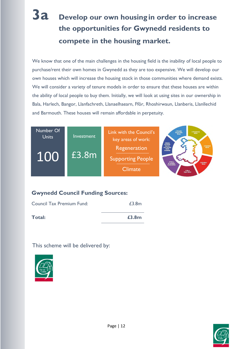### **3a Develop our own housing in order to increase the opportunities for Gwynedd residents to compete in the housing market.**

We know that one of the main challenges in the housing field is the inability of local people to purchase/rent their own homes in Gwynedd as they are too expensive. We will develop our own houses which will increase the housing stock in those communities where demand exists. We will consider a variety of tenure models in order to ensure that these houses are within the ability of local people to buy them. Initially, we will look at using sites in our ownership in Bala, Harlech, Bangor, Llanfachreth, Llanaelhaearn, Ffôr, Rhoshirwaun, Llanberis, Llanllechid and Barmouth. These houses will remain affordable in perpetuity.



#### **Gwynedd Council Funding Sources:**

| Total:                    | £3.8m |
|---------------------------|-------|
| Council Tax Premium Fund: | £3.8m |



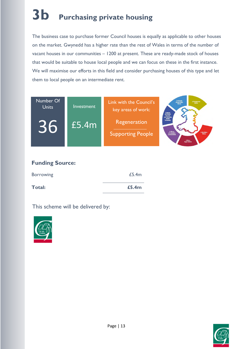# **3b Purchasing private housing**

The business case to purchase former Council houses is equally as applicable to other houses on the market. Gwynedd has a higher rate than the rest of Wales in terms of the number of vacant houses in our communities – 1200 at present. These are ready-made stock of houses that would be suitable to house local people and we can focus on these in the first instance. We will maximise our efforts in this field and consider purchasing houses of this type and let them to local people on an intermediate rent.



| <b>Borrowing</b> | £5.4m |
|------------------|-------|
| Total:           | £5.4m |



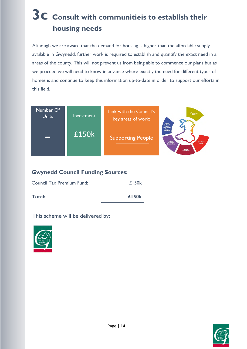### **3c Consult with communitieis to establish their housing needs**

Although we are aware that the demand for housing is higher than the affordable supply available in Gwynedd, further work is required to establish and quantify the exact need in all areas of the county. This will not prevent us from being able to commence our plans but as we proceed we will need to know in advance where exactly the need for different types of homes is and continue to keep this information up-to-date in order to support our efforts in this field.



#### **Gwynedd Council Funding Sources:**

| <b>Council Tax Premium Fund:</b> | £150k |
|----------------------------------|-------|
| Total:                           | £150k |



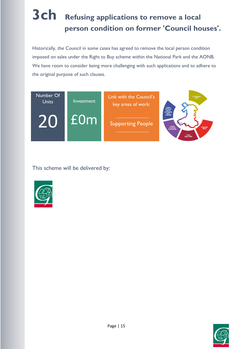## **3ch Refusing applications to remove a local person condition on former 'Council houses'.**

Historically, the Council in some cases has agreed to remove the local person condition imposed on sales under the Right to Buy scheme within the National Park and the AONB. We have room to consider being more challenging with such applications and to adhere to the original purpose of such clauses.





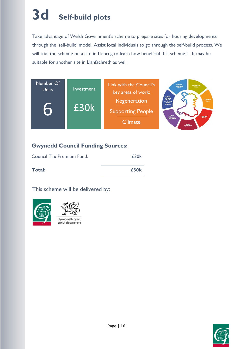## **3d Self-build plots**

Take advantage of Welsh Government's scheme to prepare sites for housing developments through the 'self-build' model. Assist local individuals to go through the self-build process. We will trial the scheme on a site in Llanrug to learn how beneficial this scheme is. It may be suitable for another site in Llanfachreth as well.



#### **Gwynedd Council Funding Sources:**

| Council Tax Premium Fund: | £30k             |
|---------------------------|------------------|
| Total:                    | £30 <sub>k</sub> |



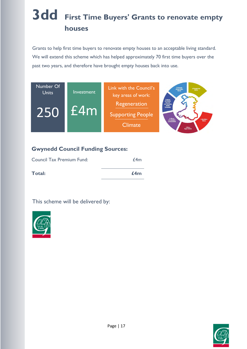## **3dd First Time Buyers' Grants to renovate empty houses**

Grants to help first time buyers to renovate empty houses to an acceptable living standard. We will extend this scheme which has helped approximately 70 first time buyers over the past two years, and therefore have brought empty houses back into use.



#### **Gwynedd Council Funding Sources:**

| <b>Council Tax Premium Fund:</b> | f4m |
|----------------------------------|-----|
| Total:                           | £4m |



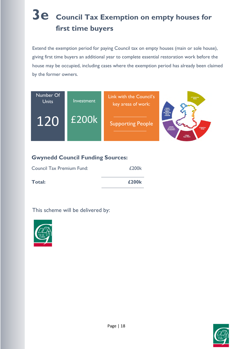## **3e Council Tax Exemption on empty houses for first time buyers**

Extend the exemption period for paying Council tax on empty houses (main or sole house), giving first time buyers an additional year to complete essential restoration work before the house may be occupied, including cases where the exemption period has already been claimed by the former owners.



#### **Gwynedd Council Funding Sources:**

| Total: | £200k |
|--------|-------|



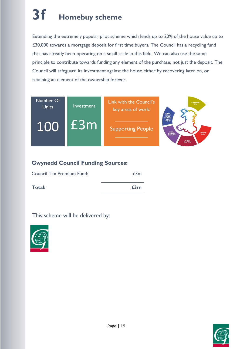## **3f Homebuy scheme**

Extending the extremely popular pilot scheme which lends up to 20% of the house value up to £30,000 towards a mortgage deposit for first time buyers. The Council has a recycling fund that has already been operating on a small scale in this field. We can also use the same principle to contribute towards funding any element of the purchase, not just the deposit. The Council will safeguard its investment against the house either by recovering later on, or retaining an element of the ownership forever.



#### **Gwynedd Council Funding Sources:**

| Council Tax Premium Fund: | £3m |
|---------------------------|-----|
| Total:                    | £3m |



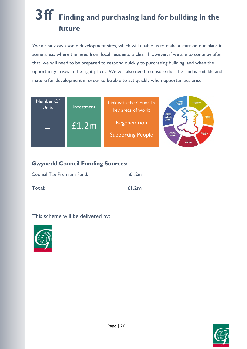### **3ff Finding and purchasing land for building in the future**

We already own some development sites, which will enable us to make a start on our plans in some areas where the need from local residents is clear. However, if we are to continue after that, we will need to be prepared to respond quickly to purchasing building land when the opportunity arises in the right places. We will also need to ensure that the land is suitable and mature for development in order to be able to act quickly when opportunities arise.



#### **Gwynedd Council Funding Sources:**

| Total:                    | f1.2m |
|---------------------------|-------|
| Council Tax Premium Fund: | £1.2m |



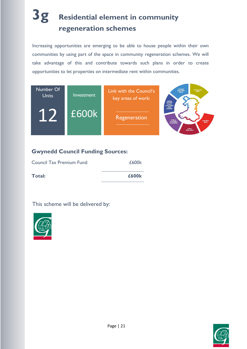### **3g Residential element in community regeneration schemes**

Increasing opportunities are emerging to be able to house people within their own communities by using part of the space in community regeneration schemes. We will take advantage of this and contribute towards such plans in order to create opportunities to let properties on intermediate rent within communities.



#### **Gwynedd Council Funding Sources:**

| Council Tax Premium Fund: | £600k |
|---------------------------|-------|
| Total:                    | £600k |



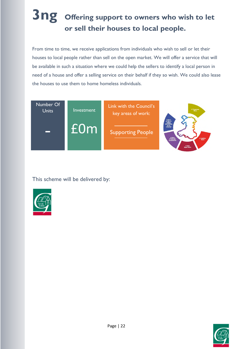### **3ng Offering support to owners who wish to let or sell their houses to local people.**

From time to time, we receive applications from individuals who wish to sell or let their houses to local people rather than sell on the open market. We will offer a service that will be available in such a situation where we could help the sellers to identify a local person in need of a house and offer a selling service on their behalf if they so wish. We could also lease the houses to use them to home homeless individuals.





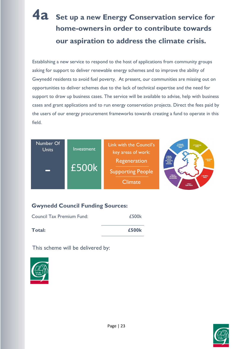### **4a Set up a new Energy Conservation service for home-owners in order to contribute towards our aspiration to address the climate crisis.**

Establishing a new service to respond to the host of applications from community groups asking for support to deliver renewable energy schemes and to improve the ability of Gwynedd residents to avoid fuel poverty. At present, our communities are missing out on opportunities to deliver schemes due to the lack of technical expertise and the need for support to draw up business cases. The service will be available to advise, help with business cases and grant applications and to run energy conservation projects. Direct the fees paid by the users of our energy procurement frameworks towards creating a fund to operate in this field.

| Number Of<br>Investment<br><b>Units</b> | Link with the Council's<br>key areas of work:<br>Regeneration | A Globally<br>Responsible<br>Wales<br>A Prosperous<br>A Wates<br>of Vibrant<br>Culture<br>and Thriving<br>Welsh<br>Language |                                                                                             |
|-----------------------------------------|---------------------------------------------------------------|-----------------------------------------------------------------------------------------------------------------------------|---------------------------------------------------------------------------------------------|
|                                         | E500k                                                         | <b>Supporting People</b><br><b>Climate</b>                                                                                  | A Wales<br>of Cohusiye<br>A Healthi<br>Wales<br><b>Communities</b><br>A More<br>Equal Wales |

#### **Gwynedd Council Funding Sources:**

| Total:                    | £500k |
|---------------------------|-------|
|                           |       |
| Council Tax Premium Fund: | £500k |



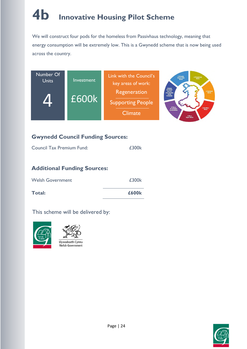# **4b Innovative Housing Pilot Scheme**

We will construct four pods for the homeless from Passivhaus technology, meaning that energy consumption will be extremely low. This is a Gwynedd scheme that is now being used across the country.



#### **Gwynedd Council Funding Sources:**

| <b>Total:</b>                      | £600k |
|------------------------------------|-------|
| <b>Welsh Government</b>            | £300k |
| <b>Additional Funding Sources:</b> |       |
| Council Tax Premium Fund:          | £300k |





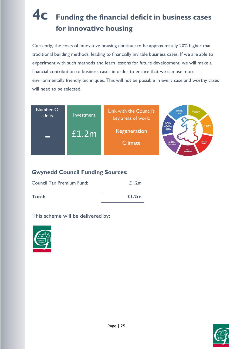### **4c Funding the financial deficit in business cases for innovative housing**

Currently, the costs of innovative housing continue to be approximately 20% higher than traditional building methods, leading to financially inviable business cases. If we are able to experiment with such methods and learn lessons for future development, we will make a financial contribution to business cases in order to ensure that we can use more environmentally friendly techniques. This will not be possible in every case and worthy cases will need to be selected.



#### **Gwynedd Council Funding Sources:**

| Council Tax Premium Fund: | £1.2m |
|---------------------------|-------|
| Total:                    | f1.2m |



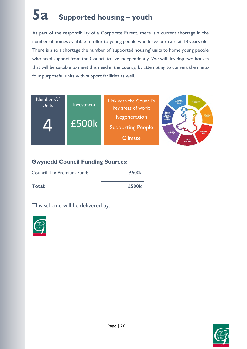## **5a Supported housing – youth**

As part of the responsibility of a Corporate Parent, there is a current shortage in the number of homes available to offer to young people who leave our care at 18 years old. There is also a shortage the number of 'supported housing' units to home young people who need support from the Council to live independently. We will develop two houses that will be suitable to meet this need in the county, by attempting to convert them into four purposeful units with support facilities as well.



#### **Gwynedd Council Funding Sources:**

| Total:                    | £500k |
|---------------------------|-------|
| Council Tax Premium Fund: | £500k |



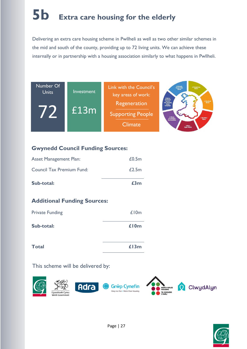# **5b Extra care housing for the elderly**

Delivering an extra care housing scheme in Pwllheli as well as two other similar schemes in the mid and south of the county, providing up to 72 living units. We can achieve these internally or in partnership with a housing association similarly to what happens in Pwllheli.



#### **Gwynedd Council Funding Sources:**

| Sub-total:                    | £3m   |
|-------------------------------|-------|
| Council Tax Premium Fund:     | £2.5m |
| <b>Asset Management Plan:</b> | £0.5m |

#### **Additional Funding Sources:**

| <b>Private Funding</b> | £10m |
|------------------------|------|
| Sub-total:             | £10m |
| <b>Total</b>           | £13m |



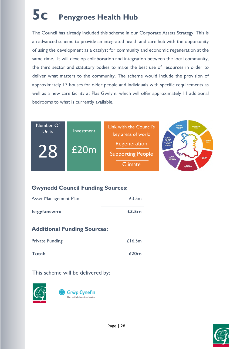## **5c Penygroes Health Hub**

The Council has already included this scheme in our Corporate Assets Strategy. This is an advanced scheme to provide an integrated health and care hub with the opportunity of using the development as a catalyst for community and economic regeneration at the same time. It will develop collaboration and integration between the local community, the third sector and statutory bodies to make the best use of resources in order to deliver what matters to the community. The scheme would include the provision of approximately 17 houses for older people and individuals with specific requirements as well as a new care facility at Plas Gwilym, which will offer approximately 11 additional bedrooms to what is currently available.



#### **Gwynedd Council Funding Sources:**

| <b>Asset Management Plan:</b> | £3.5m |
|-------------------------------|-------|
| Is-gyfanswm:                  | £3.5m |

#### **Additional Funding Sources:**

| Total:                 | £20m   |
|------------------------|--------|
| <b>Private Funding</b> | £16.5m |



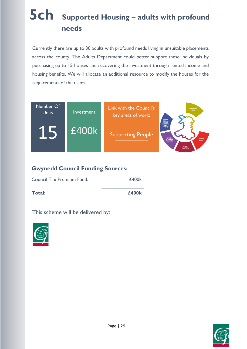## **5ch Supported Housing – adults with profound needs**

Currently there are up to 30 adults with profound needs living in unsuitable placements across the county. The Adults Department could better support these individuals by purchasing up to 15 houses and recovering the investment through rented income and housing benefits. We will allocate an additional resource to modify the houses for the requirements of the users.



#### **Gwynedd Council Funding Sources:**

| Total:                    | £400k |
|---------------------------|-------|
| Council Tax Premium Fund: | £400k |



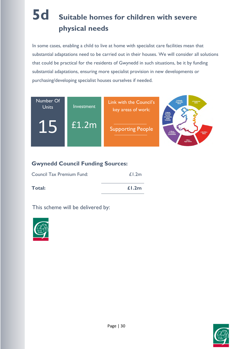### **5d Suitable homes for children with severe physical needs**

In some cases, enabling a child to live at home with specialist care facilities mean that substantial adaptations need to be carried out in their houses. We will consider all solutions that could be practical for the residents of Gwynedd in such situations, be it by funding substantial adaptations, ensuring more specialist provision in new developments or purchasing/developing specialist houses ourselves if needed.



#### **Gwynedd Council Funding Sources:**

| Total:                    | f1.2m |
|---------------------------|-------|
| Council Tax Premium Fund: | £1.2m |



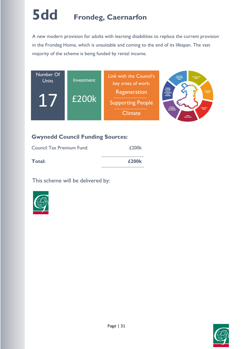## **5dd Frondeg, Caernarfon**

A new modern provision for adults with learning disabilities to replace the current provision in the Frondeg Home, which is unsuitable and coming to the end of its lifespan. The vast majority of the scheme is being funded by rental income.



#### **Gwynedd Council Funding Sources:**

| Council Tax Premium Fund: | £200k |
|---------------------------|-------|
| Total:                    | £200k |



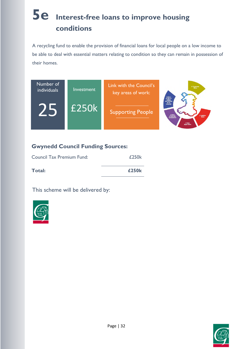### **5e Interest-free loans to improve housing conditions**

A recycling fund to enable the provision of financial loans for local people on a low income to be able to deal with essential matters relating to condition so they can remain in possession of their homes.



#### **Gwynedd Council Funding Sources:**

| Total:                           | £250k |
|----------------------------------|-------|
| <b>Council Tax Premium Fund:</b> | £250k |



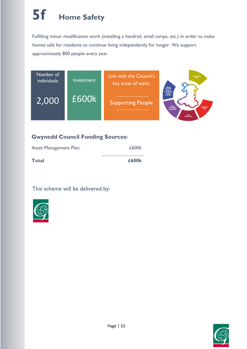## **5f Home Safety**

Fulfilling minor modification work (installing a handrail, small ramps, etc.) in order to make homes safe for residents to continue living independently for longer. We support approximately 800 people every year.



#### **Gwynedd Council Funding Sources:**

| <b>Total</b>                  | £600k |
|-------------------------------|-------|
| <b>Asset Management Plan:</b> | £600k |



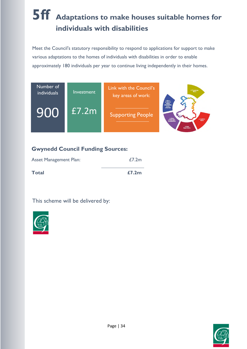### **5ff Adaptations to make houses suitable homes for individuals with disabilities**

Meet the Council's statutory responsibility to respond to applications for support to make various adaptations to the homes of individuals with disabilities in order to enable approximately 180 individuals per year to continue living independently in their homes.



#### **Gwynedd Council Funding Sources:**

| <b>Asset Management Plan:</b> | £7.2m |
|-------------------------------|-------|
| <b>Total</b>                  | £7.2m |